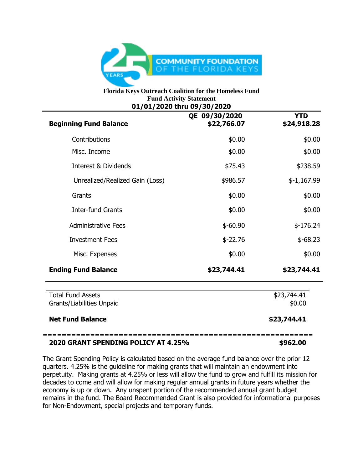

## **Florida Keys Outreach Coalition for the Homeless Fund Fund Activity Statement 01/01/2020 thru 09/30/2020**

| <b>Beginning Fund Balance</b>                         | QE 09/30/2020<br>\$22,766.07 | <b>YTD</b><br>\$24,918.28 |
|-------------------------------------------------------|------------------------------|---------------------------|
| Contributions                                         | \$0.00                       | \$0.00                    |
| Misc. Income                                          | \$0.00                       | \$0.00                    |
| Interest & Dividends                                  | \$75.43                      | \$238.59                  |
| Unrealized/Realized Gain (Loss)                       | \$986.57                     | $$-1,167.99$              |
| Grants                                                | \$0.00                       | \$0.00                    |
| <b>Inter-fund Grants</b>                              | \$0.00                       | \$0.00                    |
| <b>Administrative Fees</b>                            | $$-60.90$                    | $$-176.24$                |
| <b>Investment Fees</b>                                | $$-22.76$                    | $$-68.23$                 |
| Misc. Expenses                                        | \$0.00                       | \$0.00                    |
| <b>Ending Fund Balance</b>                            | \$23,744.41                  | \$23,744.41               |
| <b>Total Fund Assets</b><br>Grants/Liabilities Unpaid |                              | \$23,744.41<br>\$0.00     |
| <b>Net Fund Balance</b>                               |                              | \$23,744.41               |

## **2020 GRANT SPENDING POLICY AT 4.25% \$962.00**

The Grant Spending Policy is calculated based on the average fund balance over the prior 12 quarters. 4.25% is the guideline for making grants that will maintain an endowment into perpetuity. Making grants at 4.25% or less will allow the fund to grow and fulfill its mission for decades to come and will allow for making regular annual grants in future years whether the economy is up or down. Any unspent portion of the recommended annual grant budget remains in the fund. The Board Recommended Grant is also provided for informational purposes for Non-Endowment, special projects and temporary funds.